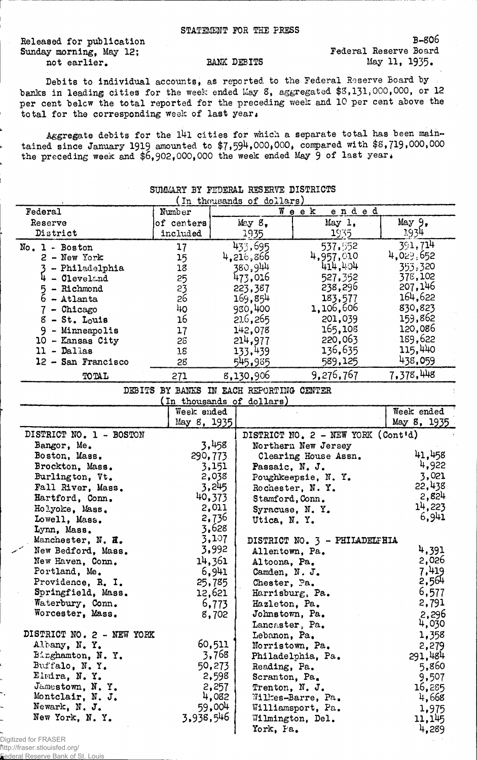Released for publication Sunday morning, May 12; not earlier.

BANK DEBITS

B-806 Federal Reserve Board May 11, 1935.

Debits to individual accounts, as reported to the Federal Reserve Board by banks in leading cities for the week ended May 8, aggregated \$3,131,000,000, or 12 per cent belcw the total reported for the preceding week and 10 per cent above the to tal for the corresponding week of last year.

Aggregate debits for the 141 cities for which a separate total has been maintained since January 1919 amounted to \$7,594,000,000, compared with \$8,719,000,000 the preceding week and  $$6,902,000,000$  the week ended May  $9$  of last year.

| (In thousands of dollars) |                                          |        |                           |                                             |             |
|---------------------------|------------------------------------------|--------|---------------------------|---------------------------------------------|-------------|
| Federal                   | Number                                   |        |                           | ended<br>Week                               |             |
| Reserve                   | of centers                               |        | May 8,                    | May 1,                                      | May 9.      |
| District                  | included                                 |        | 1935                      | 1935                                        | 1934.       |
| No. 1 - Boston            | 17                                       |        | 433,695                   | 537.552                                     | 391,714     |
| $2 - New York$            | 15                                       |        | 4,216,866                 | 4,957,010                                   | 4,029,652   |
| 3 - Philadelphia          | 18                                       |        | 380,944                   | 414,404                                     | 353,320     |
| $4 -$ Cleveland           | 25                                       |        | 473,016                   | 527,352                                     | 378,102     |
| - Richmond<br>5           | 23                                       |        | 223,387                   | 238,296                                     | 207,146     |
| $6 -$ Atlanta             | 26                                       |        | 169,854                   | 183,577                                     | 164,622     |
| $7$ - Chicago             | 40                                       |        | 930,400                   | 1,106,606                                   | 830,823     |
| $8 - St.$ Louis           | 16                                       |        | 216,265                   | 201,039                                     | 159,862     |
| 9<br>- Minneapolis        | 17                                       |        | 142,078                   | 165,108                                     | 120,086     |
| 10 - Kansas City          | 26                                       |        | 214,977                   | 220,063                                     | 189,622     |
| 11 - Dallas               | 18                                       |        | 133,439                   | 136,635                                     | 115,440     |
| 12 - San Francisco        | 28                                       |        | 545,985                   | 589,125                                     | 438,059     |
| TOTAL                     | 271                                      |        | 8,130,906                 | 9,276,767                                   | 7,378,448   |
|                           | DEBITS BY BANKS IN EACH REPORTING CENTER |        |                           |                                             |             |
|                           |                                          |        | (In thousands of dollars) |                                             |             |
|                           | Week ended                               |        |                           |                                             | Week ended  |
|                           | May 8, 1935                              |        |                           |                                             | May 8, 1935 |
| DISTRICT NO. 1 - BOSTON   |                                          |        |                           | DISTRICT NO. $2 - \text{NEW YORK (Contid)}$ |             |
| Bangor, Me.               |                                          | 3,458  |                           | Northern New Jersey                         |             |
| Boston, Mass.             | 290,773                                  |        |                           | Clearing House Assn.                        | 41,458      |
| Brockton, Mass.           |                                          | 3,151  | Passaic, N. J.            |                                             | 4,922       |
| Burlington, Vt.           |                                          | 2,038  |                           | Poughkeepsie, N.Y.                          | 3,021       |
| Fall River, Mass.         |                                          | 3,245  |                           | Rochester, N.Y.                             | 22,438      |
| Hartford, Conn.           |                                          | 40,373 | Stamford, Conn.           |                                             | 2,824       |
| Holyoke, Mass.            |                                          | 2,011  | Syracuse, N.Y.            |                                             | 14,223      |
| Lowell, Mass.             |                                          | 2,736  | Utica, N.Y.               |                                             | 6,941       |
| Lynn, Mass.               |                                          | 3,628  |                           |                                             |             |
| Manchester, N. H.         |                                          | 3,107  |                           | DISTRICT NO. 3 - PHILADELFHIA               |             |
| New Bedford, Mass.        |                                          | 3,992  | Allentown, Pa.            |                                             | 4,391       |
| New Haven, Conn.          |                                          | 14,361 | Altoona, Pa.              |                                             | 2,026       |
| Portland, Me.             |                                          | 6,941  | Camden, N. J.             |                                             | 7,419       |
| Providence, R. I.         |                                          | 25,785 | Chester, Pa.              |                                             | 2,564       |
| Springfield, Mass.        |                                          | 12,621 | Harrisburg, Pa.           |                                             | 6,577       |
| Waterbury, Conn.          |                                          | 6,773  | Hazleton, Pa.             |                                             | 2,791       |
| Worcester, Mass.          |                                          | 8,702  | Johnstown, Pa.            |                                             | 2,296       |
|                           |                                          |        | Lancaster, Pa.            |                                             | 4,030       |
| DISTRICT NO. 2 - NEW YORK |                                          |        | Lebanon, Pa.              |                                             | 1,358       |
| Albany, N.Y.              |                                          | 60,511 | Norristown, Pa.           |                                             | 2,279       |
| Binghamton, N.Y.          |                                          | 3,768  |                           | Philadelphia, Pa.                           | 291,484     |
| Buffalo, N.Y.             |                                          | 50,273 | Reading, Pa.              |                                             | 5,860       |
| Elmira, N.Y.              |                                          | 2,598  | Scranton, Pa.             |                                             | 9,507       |
| Jamestown, N.Y.           |                                          | 2,257  | Trenton, N. J.            |                                             | 16,285      |
| Montclair, N. J.          |                                          | 4,082  |                           | Willes-Barre, Pa.                           | 4,668       |
| Newark, N. J.             |                                          | 59,004 |                           | Williamsport, Pa.                           | 1,975       |
| New York, N.Y.            | 3,938,546                                |        |                           | Wilmington, Del.                            | 11,145      |
|                           |                                          |        | York, Fa.                 |                                             | 4,289       |

## SUMMARY BY FEDERAL RESERVE DISTRICTS

Digitized for FRASER http://fraser.stlouisfed.org/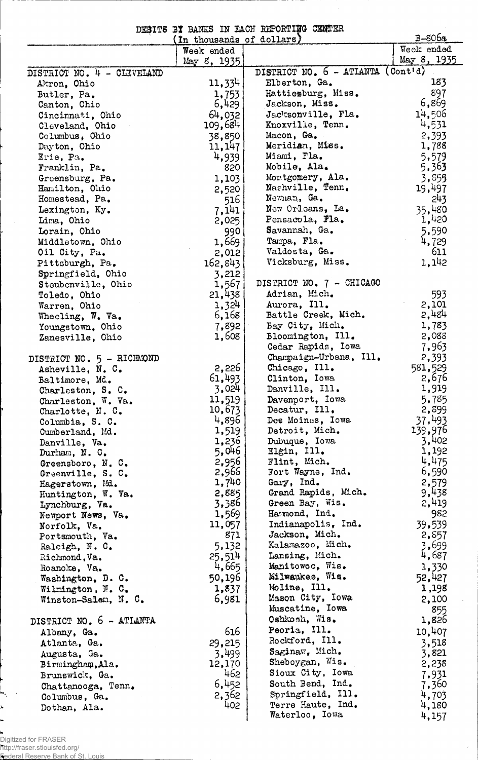| DESITS BY BANKS IN EACH REPORTING CENTER<br>$B-806a$<br>(In thousands of dollars) |                |                                        |                |  |
|-----------------------------------------------------------------------------------|----------------|----------------------------------------|----------------|--|
|                                                                                   | Week ended     |                                        | Week ended     |  |
|                                                                                   | May 8, 1935    |                                        | May 8, 1935    |  |
| DISTRICT NO. 4 - CLEVELAND                                                        |                | DISTRICT NO. 6 - ATLANTA (Cont'd)      |                |  |
| Akron, Ohio                                                                       | 11,334         | Elberton, Ga.                          | 183            |  |
| Butler, Pa.                                                                       | 1,753          | Hattiesburg, Miss.                     | 897            |  |
| Canton, Ohio                                                                      | 6,429          | Jackson, Miss.                         | 6,869          |  |
| Cincinnati, Ohio                                                                  | 64,032         | Jacksonville, Fla.                     | 14,506         |  |
| Cleveland, Ohio                                                                   | 109,684        | Knoxville, Tenn.                       | 4,531          |  |
| Columbus, Ohio                                                                    | 38,850         | Macon, Ga.                             | 2,393          |  |
| Dayton, Ohio                                                                      | 11, 147        | Meridian, Miss.                        | 1,788          |  |
| Erie, Pa.                                                                         | 4,939          | Miami, Fla.                            | 5,579          |  |
| Franklin, Pa.                                                                     | 820            | Mobile, Ala.                           | 5,363          |  |
| Greensburg, Pa.                                                                   | 1,103          | Montgomery, Ala.                       | 3,855          |  |
| Hamilton, Ohio                                                                    | 2,520          | Nashville, Tenn.                       | 19,497         |  |
| Homestead, Pa.                                                                    | 516            | Newnan, Ga.                            | 243            |  |
| Lexington, Ky.                                                                    | 7,141          | New Orleans, La.                       | 35,480         |  |
| Lima, Ohio                                                                        | 2,025          | Pensacola, Fla.                        | 1,420          |  |
| Lorain, Ohio                                                                      | 990            | Savannah, Ga.                          | 5,590          |  |
| Middletown, Ohio                                                                  | 1,669          | Tampa, Fla.                            | 4,729          |  |
| Oil City, Pa.                                                                     | 2,012          | Valdosta, Ga.                          | 611            |  |
| Pittsburgh, Pa.                                                                   | 162,843        | Vicksburg, Miss.                       | 1,142          |  |
| Springfield, Ohio                                                                 | 3,212          |                                        |                |  |
| Steubenville, Ohio                                                                | 1,567          | DISTRICT NO. 7 - CHICAGO               |                |  |
| Toledo, Ohio                                                                      | 21,438         | Adrian, Mich.                          | 593            |  |
| Warren, Ohio                                                                      | 1,324          | Aurora, Ill.                           | 2,101<br>2,484 |  |
| Wheeling, W. Va.                                                                  | 6,168          | Battle Creek, Mich.<br>Bay City, Mich. | 1,783          |  |
| Youngstown, Ohio                                                                  | 7,892<br>1,608 | Bloomington, Ill.                      | 2,088          |  |
| Zanesville, Ohio                                                                  |                | Cedar Rapids, Iowa                     | 7,963          |  |
|                                                                                   |                | Champaign-Urbana, Ill.                 | 2,393          |  |
| DISTRICT NO. 5 - RICHMOND<br>Asheville, N. C.                                     | 2,226          | Chicago, Ill.                          | 581,529        |  |
| Baltimore, Md.                                                                    | 61,493         | Clinton, Iowa                          | 2,676          |  |
| Charleston, S. C.                                                                 | 3,024          | Danville, Ill.                         | 1,919          |  |
| Charleston, W. Va.                                                                | 11,519         | Davenport, Iowa                        | 5,785          |  |
| Charlotte, N. C.                                                                  | 10,673         | Decatur, Ill.                          | 2,899          |  |
| Columbia, S. C.                                                                   | 4,896          | Des Moines, Iowa                       | 37,493         |  |
| Cumberland, Md.                                                                   | 1,519          | Detroit, Mich.                         | 139,976        |  |
| Danville, Va.                                                                     | 1,236          | Dubuque, Iowa                          | 3,402          |  |
| Durham, N. C.                                                                     | 5,046          | Elgin, Ill.                            | 1,192          |  |
| Greensboro, N. C.                                                                 | 2,956          | Flint, Mich.                           | 4,475          |  |
| Greenville, S. C.                                                                 | 2,966          | Fort Wayne, Ind.                       | 6,590          |  |
| Hagerstown, Md.                                                                   | 1,740          | Gary, Ind.                             | 2,579          |  |
| Huntington, W. Va.                                                                | 2,885          | Grand Rapids, Mich.                    | 9,438          |  |
| Lynchburg, Va.                                                                    | 3,386          | Green Bay, Wis.                        | 2,419          |  |
| Newport News, Va.                                                                 | 1,569          | Harmond, Ind.                          | 982            |  |
| Norfolk, Va.                                                                      | 11,057         | Indianapolis, Ind.                     | 39,539         |  |
| Portsmouth, Va.                                                                   | 871            | Jackson, Mich.                         | 2,857          |  |
| Raleigh, N. C.                                                                    | 5,132          | Kalamazoo, Mich.                       | 3,699          |  |
| Richmond, Va.                                                                     | 25,514         | Lansing, Mich.                         | 4,687          |  |
| Roanoke, Va.                                                                      | 4,665          | Manitowoc, Wis.                        | 1,330          |  |
| Washington. D. C.                                                                 | 50,196         | Milwaukee, Wis.                        | 52,427         |  |
| Wilmington, N. C.                                                                 | 1,837          | Moline, Ill.                           | 1,198          |  |
| Winston-Salem, N. C.                                                              | 6,981          | Mason City, Iowa                       | 2,100          |  |
|                                                                                   |                | Muscatine, Iowa                        | 855            |  |
| DISTRICT NO. 6 - ATLANTA                                                          |                | Oshkosh, Wis.                          | 1,826          |  |
| Albany, Ga.                                                                       | 616            | Peoria, Ill.                           | 10,407         |  |
| Atlanta, Ga.                                                                      | 29,215         | Rockford, Ill.                         | 3,518          |  |
| Augusta, Ga.                                                                      | 3,499          | Saginaw, Mich.                         | 3,821          |  |
| Birmingham, Ala.                                                                  | 12,170         | Sheboygan, Wis.                        | 2,238          |  |
| Brunswick, Ga.                                                                    | 462            | Sioux City, Iowa                       | 7,931          |  |
| Chattanooga, Tenn.                                                                | 6,452          | South Bend, Ind.                       | 7,360          |  |
| Columbus, Ga.                                                                     | 2,362          | Springfield, Ill.<br>Terre Haute, Ind. | 4,703          |  |
| Dothan, Ala.                                                                      | 402            | Waterloo, Iowa                         | 4,180<br>4,157 |  |
|                                                                                   |                |                                        |                |  |

ò.

 $\mathbf{L}_{\mathbf{c}}$  $\rightarrow$ 

**)** 

×

http://fraser.stlouisfed.org/ Federal Reserve Bank of St. Louis